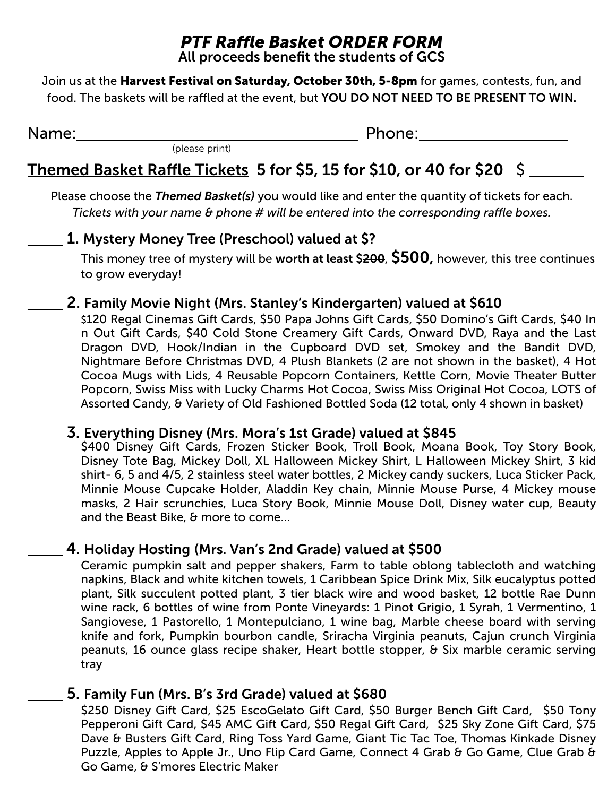# *PTF Rafe Basket ORDER FORM*

All proceeds benefit the students of GCS

Join us at the **Harvest Festival on Saturday, October 30th, 5-8pm** for games, contests, fun, and food. The baskets will be raffled at the event, but YOU DO NOT NEED TO BE PRESENT TO WIN.

Name: . Phone: .

## Themed Basket Raffle Tickets 5 for \$5, 15 for \$10, or 40 for \$20  $\,$  \$

Please choose the *Themed Basket(s)* you would like and enter the quantity of tickets for each. *Tickets with your name & phone # will be entered into the corresponding raffle boxes.* 

## .1. Mystery Money Tree (Preschool) valued at \$?

(please print)

This money tree of mystery will be worth at least  $$200, 500$ , however, this tree continues to grow everyday!

### .2. Family Movie Night (Mrs. Stanley's Kindergarten) valued at \$610

 \$120 Regal Cinemas Gift Cards, \$50 Papa Johns Gift Cards, \$50 Domino's Gift Cards, \$40 In n Out Gift Cards, \$40 Cold Stone Creamery Gift Cards, Onward DVD, Raya and the Last Dragon DVD, Hook/Indian in the Cupboard DVD set, Smokey and the Bandit DVD, Nightmare Before Christmas DVD, 4 Plush Blankets (2 are not shown in the basket), 4 Hot Cocoa Mugs with Lids, 4 Reusable Popcorn Containers, Kettle Corn, Movie Theater Butter Popcorn, Swiss Miss with Lucky Charms Hot Cocoa, Swiss Miss Original Hot Cocoa, LOTS of Assorted Candy, & Variety of Old Fashioned Bottled Soda (12 total, only 4 shown in basket)

#### .3. Everything Disney (Mrs. Mora's 1st Grade) valued at \$845

\$400 Disney Gift Cards, Frozen Sticker Book, Troll Book, Moana Book, Toy Story Book, Disney Tote Bag, Mickey Doll, XL Halloween Mickey Shirt, L Halloween Mickey Shirt, 3 kid shirt- 6, 5 and 4/5, 2 stainless steel water bottles, 2 Mickey candy suckers, Luca Sticker Pack, Minnie Mouse Cupcake Holder, Aladdin Key chain, Minnie Mouse Purse, 4 Mickey mouse masks, 2 Hair scrunchies, Luca Story Book, Minnie Mouse Doll, Disney water cup, Beauty and the Beast Bike, & more to come…

## .4. Holiday Hosting (Mrs. Van's 2nd Grade) valued at \$500

Ceramic pumpkin salt and pepper shakers, Farm to table oblong tablecloth and watching napkins, Black and white kitchen towels, 1 Caribbean Spice Drink Mix, Silk eucalyptus potted plant, Silk succulent potted plant, 3 tier black wire and wood basket, 12 bottle Rae Dunn wine rack, 6 bottles of wine from Ponte Vineyards: 1 Pinot Grigio, 1 Syrah, 1 Vermentino, 1 Sangiovese, 1 Pastorello, 1 Montepulciano, 1 wine bag, Marble cheese board with serving knife and fork, Pumpkin bourbon candle, Sriracha Virginia peanuts, Cajun crunch Virginia peanuts, 16 ounce glass recipe shaker, Heart bottle stopper, & Six marble ceramic serving tray

#### .5. Family Fun (Mrs. B's 3rd Grade) valued at \$680

\$250 Disney Gift Card, \$25 EscoGelato Gift Card, \$50 Burger Bench Gift Card, \$50 Tony Pepperoni Gift Card, \$45 AMC Gift Card, \$50 Regal Gift Card, \$25 Sky Zone Gift Card, \$75 Dave & Busters Gift Card, Ring Toss Yard Game, Giant Tic Tac Toe, Thomas Kinkade Disney Puzzle, Apples to Apple Jr., Uno Flip Card Game, Connect 4 Grab & Go Game, Clue Grab & Go Game, & S'mores Electric Maker